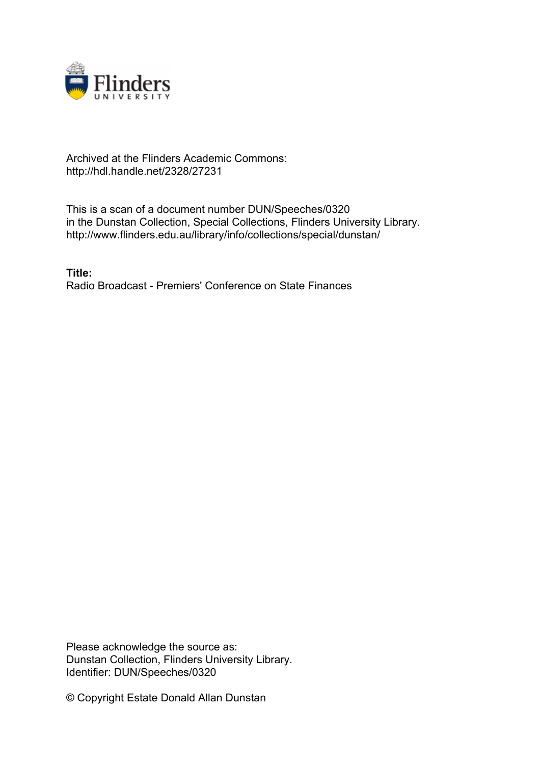

## Archived at the Flinders Academic Commons: http://hdl.handle.net/2328/27231

This is a scan of a document number DUN/Speeches/0320 in the Dunstan Collection, Special Collections, Flinders University Library. http://www.flinders.edu.au/library/info/collections/special/dunstan/

**Title:** Radio Broadcast - Premiers' Conference on State Finances

Please acknowledge the source as: Dunstan Collection, Flinders University Library. Identifier: DUN/Speeches/0320

© Copyright Estate Donald Allan Dunstan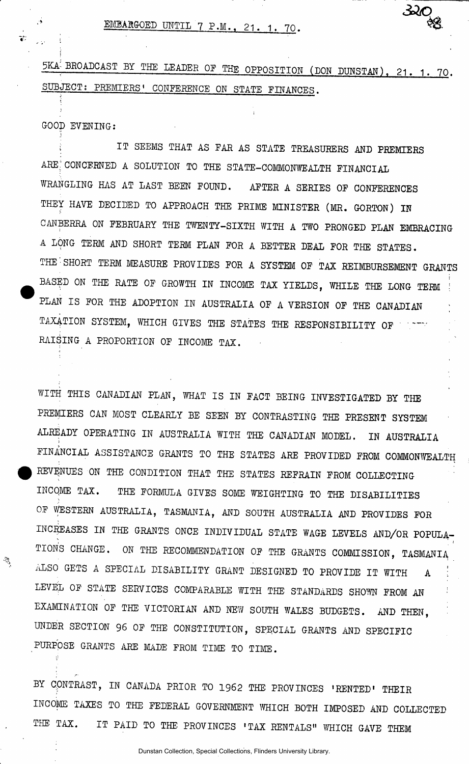EMBARGOED UNTIL 7 P.M., 21. 1. 70.

5KA<sup>!</sup> BROADCAST BY THE LEADER OF THE OPPOSITION (DON DUNSTAN), 21. 1. 70. SUBJECT; PREMIERS' CONFERENCE ON STATE FINANCES.

320

GOOD EVENING:

j

IT SEEMS THAT AS FAR AS STATE TREASURERS AND PREMIERS ARE CONCERNED A SOLUTION TO THE STATE-COMMONWEALTH FINANCIAL WRANGLING HAS AT LAST BEEN FOUND. AFTER A SERIES OF CONFERENCES THEY HAVE DECIDED TO APPROACH THE PRIME MINISTER (MR. GORTON) IN CANBERRA ON FEBRUARY THE TWENTY-SIXTH WITH A TWO PRONGED PLAN EMBRACING A LONG TERM AND SHORT TERM PLAN FOR A BETTER DEAL FOR THE STATES. THE SHORT TERM MEASURE PROVIDES FOR A SYSTEM OF TAX REIMBURSEMENT GRANTS BASED ON THE RATE OF GROWTH IN INCOME TAX YIELDS, WHILE THE LONG TERM PLAN IS FOR THE ADOPTION IN AUSTRALIA OF A VERSION OF THE CANADIAN TAXATION SYSTEM, WHICH GIVES THE STATES THE RESPONSIBILITY OF ' RAISING A PROPORTION OF INCOME TAX.

WITH THIS CANADIAN PLAN, WHAT IS IN FACT BEING INVESTIGATED BY THE PREMIERS CAN MOST CLEARLY BE SEEN BY CONTRASTING THE PRESENT SYSTEM ALREADY OPERATING IN AUSTRALIA WITH THE CANADIAN MODEL. IN AUSTRALIA FINANCIAL ASSISTANCE GRANTS TO THE STATES ARE PROVIDED FROM COMMONWEALTH REVENUES ON THE CONDITION THAT THE STATES REFRAIN FROM COLLECTING INCOME TAX. THE FORMULA GIVES SOME WEIGHTING TO THE DISABILITIES OF WESTERN AUSTRALIA, TASMANIA, AND SOUTH AUSTRALIA AND PROVIDES FOR INCREASES IN THE GRANTS ONCE INDIVIDUAL STATE WAGE LEVELS AND/OR POPULA-TIONS CHANGE. ON THE RECOMMENDATION OF THE GRANTS COMMISSION, TASMANIA ALSO GETS A SPECIAL DISABILITY GRANT DESIGNED TO PROVIDE IT WITH A LEVEL OF STATE SERVICES COMPARABLE WITH THE STANDARDS SHOWN FROM AN EXAMINATION OF THE VICTORIAN AND NEW SOUTH WALES BUDGETS. AND THEN, UNDER SECTION 96 OF THE CONSTITUTION, SPECIAL GRANTS AND SPECIFIC PURPOSE GRANTS ARE MADE FROM TIME TO TIME.

BY CONTRAST, IN CANADA PRIOR TO 1962 THE PROVINCES 'RENTED' THEIR INCOME TAXES TO THE FEDERAL GOVERNMENT WHICH BOTH IMPOSED AND COLLECTED THE TAX. IT PAID TO THE PROVINCES 'TAX RENTALS" WHICH GAVE THEM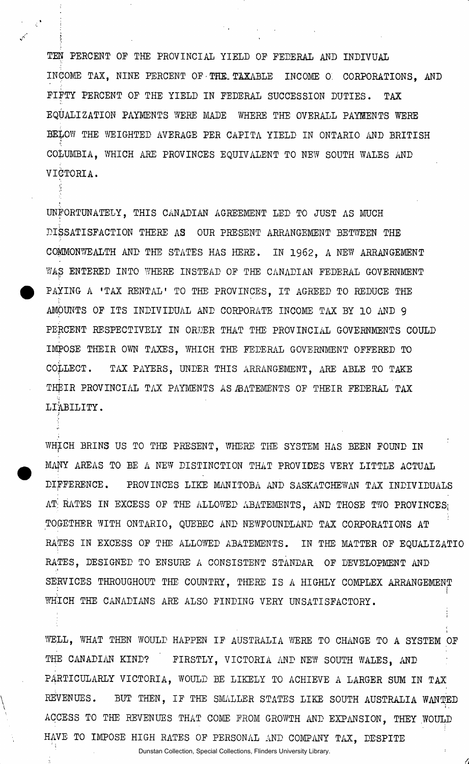TEN PERCENT OF THE PROVINCIAL YIELD OP FEDERAL AND INDIVUAL INCOME TAX, NINE PERCENT OF•THE. TAXABLE INCOME 0 CORPORATIONS, AND FIFTY PERCENT OF THE YIELD IN FEDERAL SUCCESSION DUTIES. TAX EQUALIZATION PAYMENTS WERE MADE WHERE THE OVERALL PAYMENTS WERE EE&OW THE WEIGHTED AVERAGE PER CAPITA YIELD IN ONTARIO AND BRITISH COLUMBIA, WHICH ARE PROVINCES EQUIVALENT TO NEW SOUTH WALES AND VICTORIA.

'f

UNFORTUNATELY, THIS CANADIAN AGREEMENT LED TO JUST AS MUCH DISSATISFACTION THERE AS OUR PRESENT ARRANGEMENT BETWEEN THE COMMONWEALTH AND THE STATES HAS HERE. IN 1962 , A NEW ARRANGEMENT WAS ENTERED INTO WHERE INSTEAD OF THE CANADIAN FEDERAL GOVERNMENT PAYING A 'TAX RENTAL' TO THE PROVINCES, IT AGREED TO REDUCE THE AMOUNTS OF ITS INDIVIDUAL AND CORPORATE INCOME TAX BY 10 AND 9 PERCENT RESPECTIVELY IN ORDER THAT THE PROVINCIAL GOVERNMENTS COULD IMPOSE THEIR OWN TAXES, WHICH THE FEDERAL GOVERNMENT OFFERED TO COLLECT. TAX PAYERS, UNDER THIS ARRANGEMENT, ARE ABLE TO TAKE THEIR PROVINCIAL TAX PAYMENTS AS ABATEMENTS OF THEIR FEDERAL TAX LIABILITY.

WHfCH BRINS US TO THE PRESENT, WHERE THE SYSTEM HAS BEEN FOUND IN MANY AREAS TO BE A NEW DISTINCTION THAT PROVIDES VERY LITTLE ACTUAL DIFFERENCE. PROVINCES LIKE MANITOBA AND SASKATCHEWAN TAX INDIVIDUALS AT RATES IN EXCESS OF THE ALLOWED ABATEMENTS, AND THOSE TWO PROVINCES; TOGETHER WITH ONTARIO, QUEBEC AND NEWFOUNDLAND TAX CORPORATIONS AT RATES IN EXCESS OF THE ALLOWED ABATEMENTS. IN THE MATTER OF EQUALIZATIO RATES, DESIGNED TO ENSURE A CONSISTENT STANDAR OF DEVELOPMENT AND SERVICES THROUGHOUT THE COUNTRY, THERE IS A HIGHLY COMPLEX ARRANGEMENT *I*  WHICH THE CANADIANS ARE ALSO FINDING VERY UNSATISFACTORY.

WELL, WHAT THEN WOULD HAPPEN IF AUSTRALIA WERE TO CHANGE TO A SYSTEM OF THE CANADIAN KIND? FIRSTLY, VICTORIA AND NEW SOUTH WALES, AND P4RTICULARLY VICTORIA, WOULD BE LIKELY TO ACHIEVE A LARGER SUM IN TAX REVENUES. BUT THEN, IF THE SMALLER STATES LIKE SOUTH AUSTRALIA WANTED ACCESS TO THE REVENUES THAT COME FROM GROWTH AND EXPANSION, THEY WOULD HAVE TO IMPOSE HIGH RATES OF PERSONAL AND COMPANY TAX, DESPITE

Dunstan Collection, Special Collections, Flinders University Library.